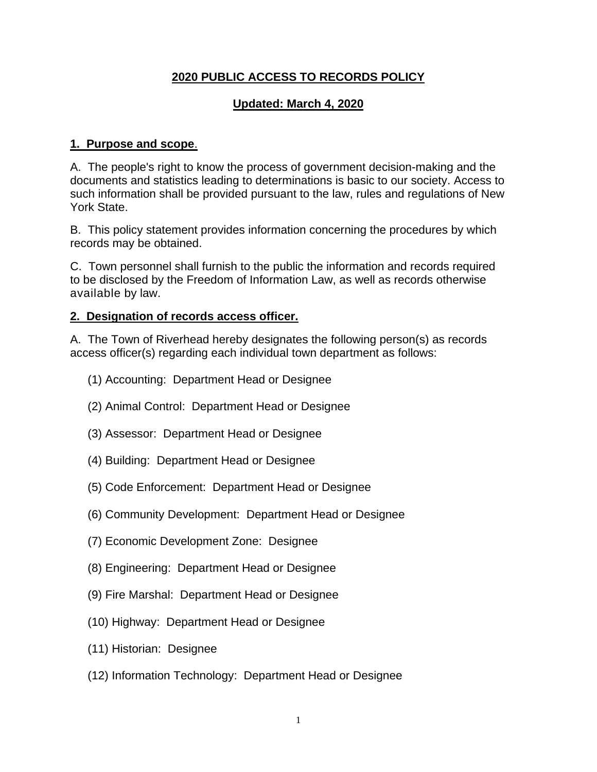### **2020 PUBLIC ACCESS TO RECORDS POLICY**

### **Updated: March 4, 2020**

#### **1. Purpose and scope**.

A. The people's right to know the process of government decision-making and the documents and statistics leading to determinations is basic to our society. Access to such information shall be provided pursuant to the law, rules and regulations of New York State.

B. This policy statement provides information concerning the procedures by which records may be obtained.

C. Town personnel shall furnish to the public the information and records required to be disclosed by the Freedom of Information Law, as well as records otherwise available by law.

#### **2. Designation of records access officer.**

A. The Town of Riverhead hereby designates the following person(s) as records access officer(s) regarding each individual town department as follows:

- (1) Accounting: Department Head or Designee
- (2) Animal Control: Department Head or Designee
- (3) Assessor: Department Head or Designee
- (4) Building: Department Head or Designee
- (5) Code Enforcement: Department Head or Designee
- (6) Community Development: Department Head or Designee
- (7) Economic Development Zone: Designee
- (8) Engineering: Department Head or Designee
- (9) Fire Marshal: Department Head or Designee
- (10) Highway: Department Head or Designee
- (11) Historian: Designee
- (12) Information Technology: Department Head or Designee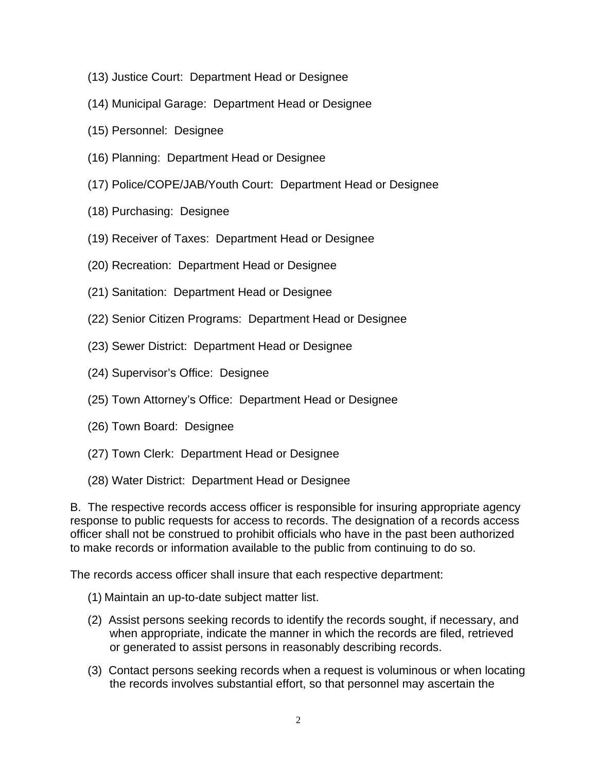- (13) Justice Court: Department Head or Designee
- (14) Municipal Garage: Department Head or Designee
- (15) Personnel: Designee
- (16) Planning: Department Head or Designee
- (17) Police/COPE/JAB/Youth Court: Department Head or Designee
- (18) Purchasing: Designee
- (19) Receiver of Taxes: Department Head or Designee
- (20) Recreation: Department Head or Designee
- (21) Sanitation: Department Head or Designee
- (22) Senior Citizen Programs: Department Head or Designee
- (23) Sewer District: Department Head or Designee
- (24) Supervisor's Office: Designee
- (25) Town Attorney's Office: Department Head or Designee
- (26) Town Board: Designee
- (27) Town Clerk: Department Head or Designee
- (28) Water District: Department Head or Designee

B. The respective records access officer is responsible for insuring appropriate agency response to public requests for access to records. The designation of a records access officer shall not be construed to prohibit officials who have in the past been authorized to make records or information available to the public from continuing to do so.

The records access officer shall insure that each respective department:

- (1) Maintain an up-to-date subject matter list.
- (2) Assist persons seeking records to identify the records sought, if necessary, and when appropriate, indicate the manner in which the records are filed, retrieved or generated to assist persons in reasonably describing records.
- (3) Contact persons seeking records when a request is voluminous or when locating the records involves substantial effort, so that personnel may ascertain the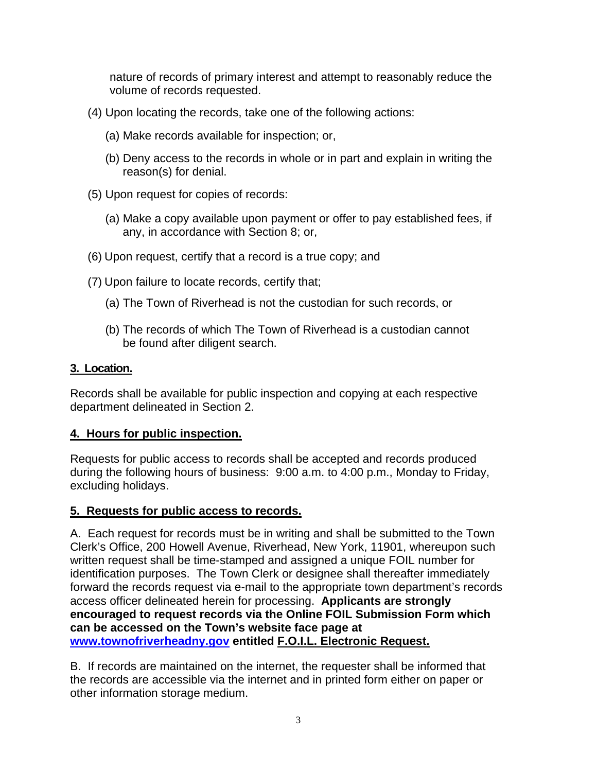nature of records of primary interest and attempt to reasonably reduce the volume of records requested.

- (4) Upon locating the records, take one of the following actions:
	- (a) Make records available for inspection; or,
	- (b) Deny access to the records in whole or in part and explain in writing the reason(s) for denial.
- (5) Upon request for copies of records:
	- (a) Make a copy available upon payment or offer to pay established fees, if any, in accordance with Section 8; or,
- (6) Upon request, certify that a record is a true copy; and
- (7) Upon failure to locate records, certify that;
	- (a) The Town of Riverhead is not the custodian for such records, or
	- (b) The records of which The Town of Riverhead is a custodian cannot be found after diligent search.

### **3. Location.**

Records shall be available for public inspection and copying at each respective department delineated in Section 2.

# **4. Hours for public inspection.**

Requests for public access to records shall be accepted and records produced during the following hours of business: 9:00 a.m. to 4:00 p.m., Monday to Friday, excluding holidays.

# **5. Requests for public access to records.**

A. Each request for records must be in writing and shall be submitted to the Town Clerk's Office, 200 Howell Avenue, Riverhead, New York, 11901, whereupon such written request shall be time-stamped and assigned a unique FOIL number for identification purposes. The Town Clerk or designee shall thereafter immediately forward the records request via e-mail to the appropriate town department's records access officer delineated herein for processing. **Applicants are strongly encouraged to request records via the Online FOIL Submission Form which can be accessed on the Town's website face page at [www.townofriverheadny.gov](http://www.townofriverheadny.gov/) entitled F.O.I.L. Electronic Request.**

B. If records are maintained on the internet, the requester shall be informed that the records are accessible via the internet and in printed form either on paper or other information storage medium.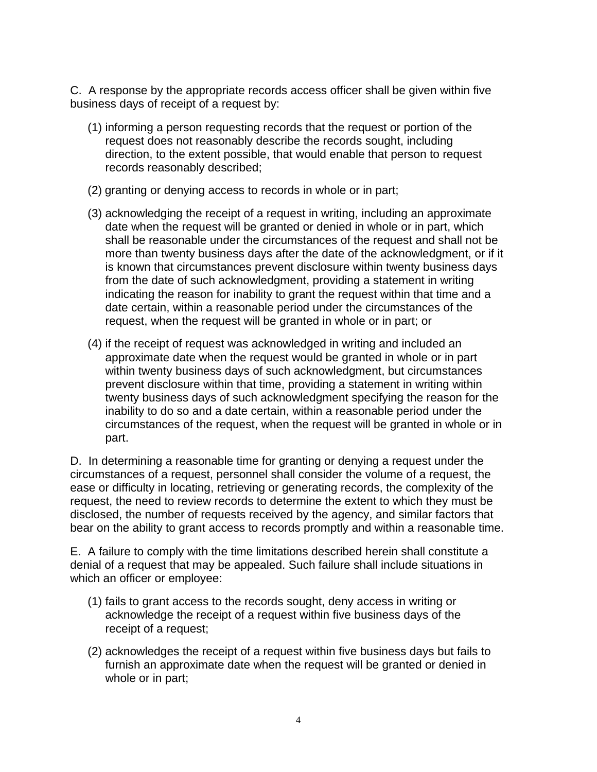C. A response by the appropriate records access officer shall be given within five business days of receipt of a request by:

- (1) informing a person requesting records that the request or portion of the request does not reasonably describe the records sought, including direction, to the extent possible, that would enable that person to request records reasonably described;
- (2) granting or denying access to records in whole or in part;
- (3) acknowledging the receipt of a request in writing, including an approximate date when the request will be granted or denied in whole or in part, which shall be reasonable under the circumstances of the request and shall not be more than twenty business days after the date of the acknowledgment, or if it is known that circumstances prevent disclosure within twenty business days from the date of such acknowledgment, providing a statement in writing indicating the reason for inability to grant the request within that time and a date certain, within a reasonable period under the circumstances of the request, when the request will be granted in whole or in part; or
- (4) if the receipt of request was acknowledged in writing and included an approximate date when the request would be granted in whole or in part within twenty business days of such acknowledgment, but circumstances prevent disclosure within that time, providing a statement in writing within twenty business days of such acknowledgment specifying the reason for the inability to do so and a date certain, within a reasonable period under the circumstances of the request, when the request will be granted in whole or in part.

D. In determining a reasonable time for granting or denying a request under the circumstances of a request, personnel shall consider the volume of a request, the ease or difficulty in locating, retrieving or generating records, the complexity of the request, the need to review records to determine the extent to which they must be disclosed, the number of requests received by the agency, and similar factors that bear on the ability to grant access to records promptly and within a reasonable time.

E. A failure to comply with the time limitations described herein shall constitute a denial of a request that may be appealed. Such failure shall include situations in which an officer or employee:

- (1) fails to grant access to the records sought, deny access in writing or acknowledge the receipt of a request within five business days of the receipt of a request;
- (2) acknowledges the receipt of a request within five business days but fails to furnish an approximate date when the request will be granted or denied in whole or in part;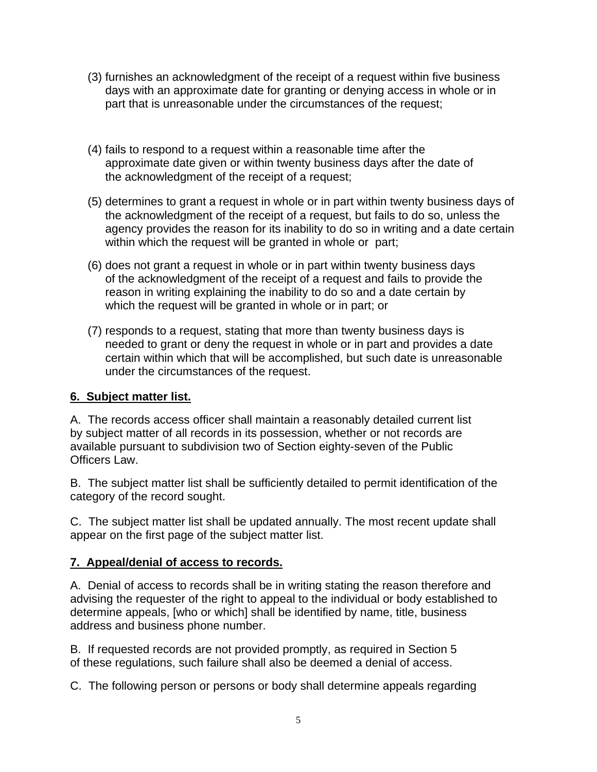- (3) furnishes an acknowledgment of the receipt of a request within five business days with an approximate date for granting or denying access in whole or in part that is unreasonable under the circumstances of the request;
- (4) fails to respond to a request within a reasonable time after the approximate date given or within twenty business days after the date of the acknowledgment of the receipt of a request;
- (5) determines to grant a request in whole or in part within twenty business days of the acknowledgment of the receipt of a request, but fails to do so, unless the agency provides the reason for its inability to do so in writing and a date certain within which the request will be granted in whole or part;
- (6) does not grant a request in whole or in part within twenty business days of the acknowledgment of the receipt of a request and fails to provide the reason in writing explaining the inability to do so and a date certain by which the request will be granted in whole or in part; or
- (7) responds to a request, stating that more than twenty business days is needed to grant or deny the request in whole or in part and provides a date certain within which that will be accomplished, but such date is unreasonable under the circumstances of the request.

#### **6. Subject matter list.**

A. The records access officer shall maintain a reasonably detailed current list by subject matter of all records in its possession, whether or not records are available pursuant to subdivision two of Section eighty-seven of the Public Officers Law.

B. The subject matter list shall be sufficiently detailed to permit identification of the category of the record sought.

C. The subject matter list shall be updated annually. The most recent update shall appear on the first page of the subject matter list.

#### **7. Appeal/denial of access to records.**

A. Denial of access to records shall be in writing stating the reason therefore and advising the requester of the right to appeal to the individual or body established to determine appeals, [who or which] shall be identified by name, title, business address and business phone number.

B. If requested records are not provided promptly, as required in Section 5 of these regulations, such failure shall also be deemed a denial of access.

C. The following person or persons or body shall determine appeals regarding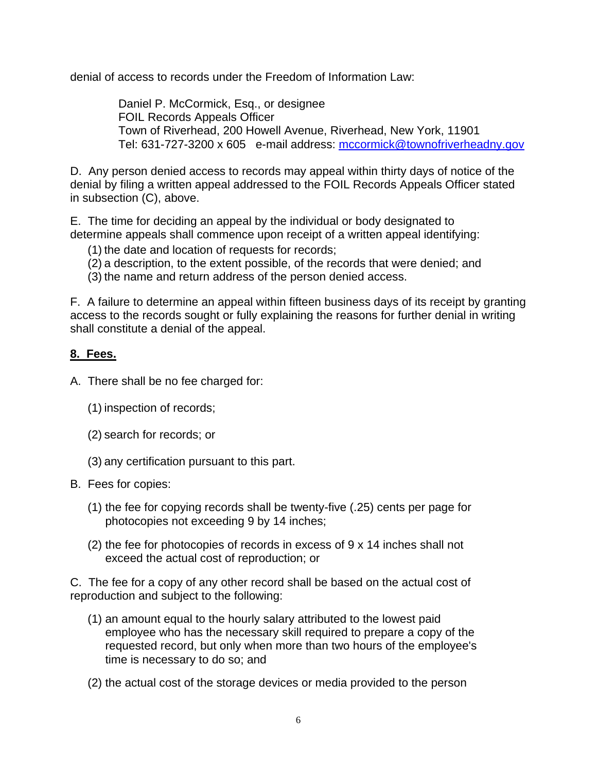denial of access to records under the Freedom of Information Law:

Daniel P. McCormick, Esq., or designee FOIL Records Appeals Officer Town of Riverhead, 200 Howell Avenue, Riverhead, New York, 11901 Tel: 631-727-3200 x 605 e-mail address: [mccormick@townofriverheadny.gov](mailto:mccormick@townofriverheadny.gov)

D. Any person denied access to records may appeal within thirty days of notice of the denial by filing a written appeal addressed to the FOIL Records Appeals Officer stated in subsection (C), above.

E. The time for deciding an appeal by the individual or body designated to determine appeals shall commence upon receipt of a written appeal identifying:

- (1) the date and location of requests for records;
- (2) a description, to the extent possible, of the records that were denied; and
- (3) the name and return address of the person denied access.

F. A failure to determine an appeal within fifteen business days of its receipt by granting access to the records sought or fully explaining the reasons for further denial in writing shall constitute a denial of the appeal.

#### **8. Fees.**

- A. There shall be no fee charged for:
	- (1) inspection of records;
	- (2) search for records; or
	- (3) any certification pursuant to this part.
- B. Fees for copies:
	- (1) the fee for copying records shall be twenty-five (.25) cents per page for photocopies not exceeding 9 by 14 inches;
	- (2) the fee for photocopies of records in excess of 9 x 14 inches shall not exceed the actual cost of reproduction; or

C. The fee for a copy of any other record shall be based on the actual cost of reproduction and subject to the following:

- (1) an amount equal to the hourly salary attributed to the lowest paid employee who has the necessary skill required to prepare a copy of the requested record, but only when more than two hours of the employee's time is necessary to do so; and
- (2) the actual cost of the storage devices or media provided to the person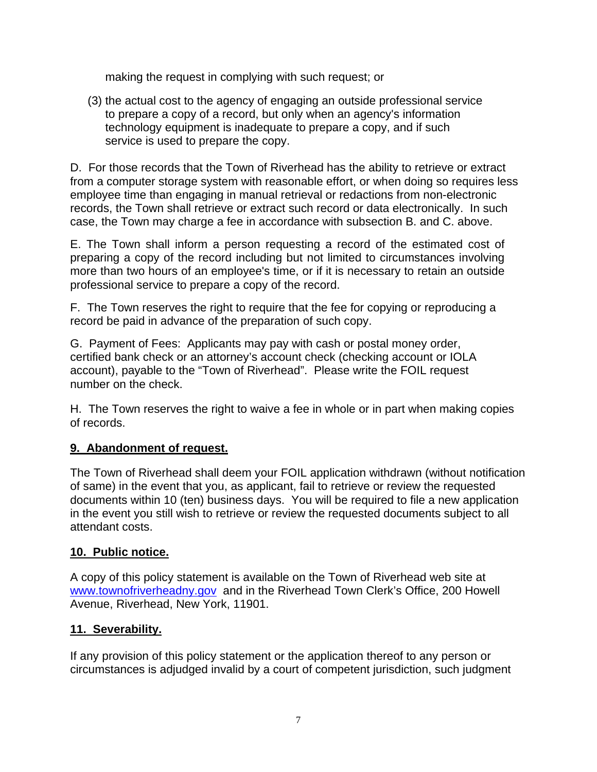making the request in complying with such request; or

(3) the actual cost to the agency of engaging an outside professional service to prepare a copy of a record, but only when an agency's information technology equipment is inadequate to prepare a copy, and if such service is used to prepare the copy.

D. For those records that the Town of Riverhead has the ability to retrieve or extract from a computer storage system with reasonable effort, or when doing so requires less employee time than engaging in manual retrieval or redactions from non-electronic records, the Town shall retrieve or extract such record or data electronically. In such case, the Town may charge a fee in accordance with subsection B. and C. above.

E. The Town shall inform a person requesting a record of the estimated cost of preparing a copy of the record including but not limited to circumstances involving more than two hours of an employee's time, or if it is necessary to retain an outside professional service to prepare a copy of the record.

F. The Town reserves the right to require that the fee for copying or reproducing a record be paid in advance of the preparation of such copy.

G. Payment of Fees: Applicants may pay with cash or postal money order, certified bank check or an attorney's account check (checking account or IOLA account), payable to the "Town of Riverhead". Please write the FOIL request number on the check.

H. The Town reserves the right to waive a fee in whole or in part when making copies of records.

#### **9. Abandonment of request.**

The Town of Riverhead shall deem your FOIL application withdrawn (without notification of same) in the event that you, as applicant, fail to retrieve or review the requested documents within 10 (ten) business days. You will be required to file a new application in the event you still wish to retrieve or review the requested documents subject to all attendant costs.

#### **10. Public notice.**

A copy of this policy statement is available on the Town of Riverhead web site at [www.townofriverheadny.gov](http://www.townofriverheadny.gov/) and in the Riverhead Town Clerk's Office, 200 Howell Avenue, Riverhead, New York, 11901.

#### **11. Severability.**

If any provision of this policy statement or the application thereof to any person or circumstances is adjudged invalid by a court of competent jurisdiction, such judgment